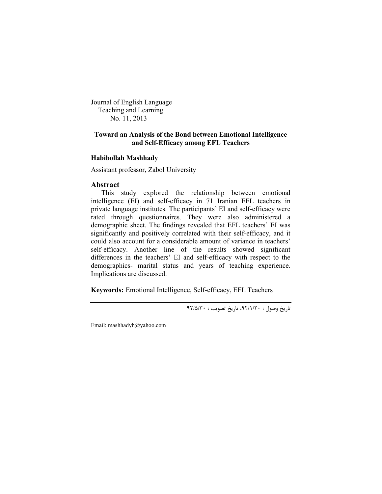Journal of English Language Teaching and Learning No. 11, 2013

# **Toward an Analysis of the Bond between Emotional Intelligence and Self-Efficacy among EFL Teachers**

## **Habibollah Mashhady**

Assistant professor, Zabol University

# **Abstract**

This study explored the relationship between emotional intelligence (EI) and self-efficacy in 71 Iranian EFL teachers in private language institutes. The participants' EI and self-efficacy were rated through questionnaires. They were also administered a demographic sheet. The findings revealed that EFL teachers' EI was significantly and positively correlated with their self-efficacy, and it could also account for a considerable amount of variance in teachers' self-efficacy. Another line of the results showed significant differences in the teachers' EI and self-efficacy with respect to the demographics- marital status and years of teaching experience. Implications are discussed.

**Keywords:** Emotional Intelligence, Self-efficacy, EFL Teachers

تاریخ وصول : ،92/1/20 تاریخ تصویب : 92/5/30

Email: mashhadyh@yahoo.com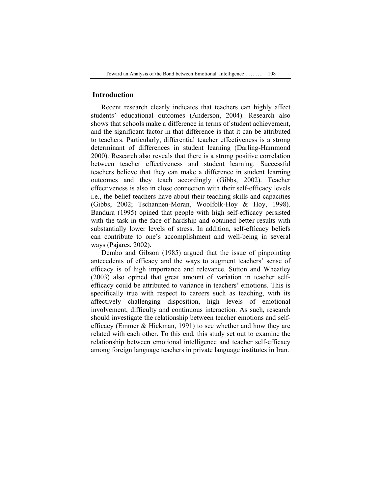### **Introduction**

Recent research clearly indicates that teachers can highly affect students' educational outcomes (Anderson, 2004). Research also shows that schools make a difference in terms of student achievement, and the significant factor in that difference is that it can be attributed to teachers. Particularly, differential teacher effectiveness is a strong determinant of differences in student learning (Darling-Hammond 2000). Research also reveals that there is a strong positive correlation between teacher effectiveness and student learning. Successful teachers believe that they can make a difference in student learning outcomes and they teach accordingly (Gibbs, 2002). Teacher effectiveness is also in close connection with their self-efficacy levels i.e., the belief teachers have about their teaching skills and capacities (Gibbs, 2002; Tschannen-Moran, Woolfolk-Hoy & Hoy, 1998). Bandura (1995) opined that people with high self-efficacy persisted with the task in the face of hardship and obtained better results with substantially lower levels of stress. In addition, self-efficacy beliefs can contribute to one's accomplishment and well-being in several ways (Pajares, 2002).

Dembo and Gibson (1985) argued that the issue of pinpointing antecedents of efficacy and the ways to augment teachers' sense of efficacy is of high importance and relevance. Sutton and Wheatley (2003) also opined that great amount of variation in teacher selfefficacy could be attributed to variance in teachers' emotions. This is specifically true with respect to careers such as teaching, with its affectively challenging disposition, high levels of emotional involvement, difficulty and continuous interaction. As such, research should investigate the relationship between teacher emotions and selfefficacy (Emmer & Hickman, 1991) to see whether and how they are related with each other. To this end, this study set out to examine the relationship between emotional intelligence and teacher self-efficacy among foreign language teachers in private language institutes in Iran.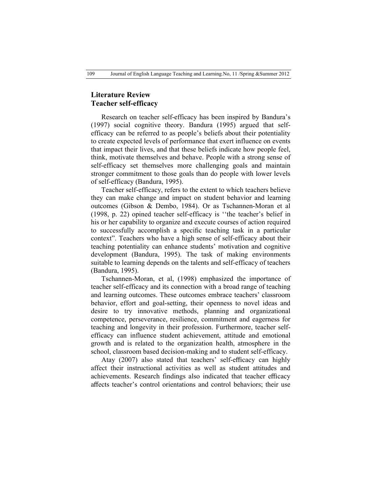# **Literature Review Teacher self-efficacy**

Research on teacher self-efficacy has been inspired by Bandura's (1997) social cognitive theory. Bandura (1995) argued that selfefficacy can be referred to as people's beliefs about their potentiality to create expected levels of performance that exert influence on events that impact their lives, and that these beliefs indicate how people feel, think, motivate themselves and behave. People with a strong sense of self-efficacy set themselves more challenging goals and maintain stronger commitment to those goals than do people with lower levels of self-efficacy (Bandura, 1995).

Teacher self-efficacy, refers to the extent to which teachers believe they can make change and impact on student behavior and learning outcomes (Gibson & Dembo, 1984). Or as Tschannen-Moran et al (1998, p. 22) opined teacher self-efficacy is ''the teacher's belief in his or her capability to organize and execute courses of action required to successfully accomplish a specific teaching task in a particular context". Teachers who have a high sense of self-efficacy about their teaching potentiality can enhance students' motivation and cognitive development (Bandura, 1995). The task of making environments suitable to learning depends on the talents and self-efficacy of teachers (Bandura, 1995).

Tschannen-Moran, et al, (1998) emphasized the importance of teacher self-efficacy and its connection with a broad range of teaching and learning outcomes. These outcomes embrace teachers' classroom behavior, effort and goal-setting, their openness to novel ideas and desire to try innovative methods, planning and organizational competence, perseverance, resilience, commitment and eagerness for teaching and longevity in their profession. Furthermore, teacher selfefficacy can influence student achievement, attitude and emotional growth and is related to the organization health, atmosphere in the school, classroom based decision-making and to student self-efficacy.

Atay (2007) also stated that teachers' self-efficacy can highly affect their instructional activities as well as student attitudes and achievements. Research findings also indicated that teacher efficacy affects teacher's control orientations and control behaviors; their use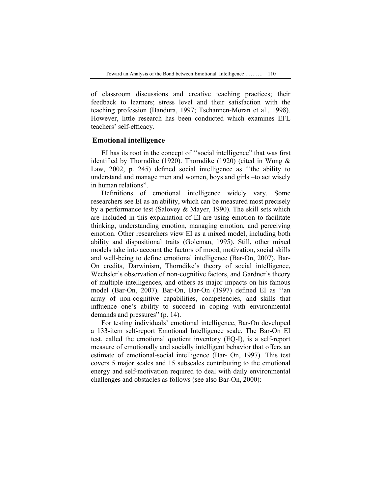of classroom discussions and creative teaching practices; their feedback to learners; stress level and their satisfaction with the teaching profession (Bandura, 1997; Tschannen-Moran et al., 1998). However, little research has been conducted which examines EFL teachers' self-efficacy.

# **Emotional intelligence**

EI has its root in the concept of ''social intelligence" that was first identified by Thorndike (1920). Thorndike (1920) (cited in Wong & Law, 2002, p. 245) defined social intelligence as "the ability to understand and manage men and women, boys and girls –to act wisely in human relations".

Definitions of emotional intelligence widely vary. Some researchers see EI as an ability, which can be measured most precisely by a performance test (Salovey & Mayer, 1990). The skill sets which are included in this explanation of EI are using emotion to facilitate thinking, understanding emotion, managing emotion, and perceiving emotion. Other researchers view EI as a mixed model, including both ability and dispositional traits (Goleman, 1995). Still, other mixed models take into account the factors of mood, motivation, social skills and well-being to define emotional intelligence (Bar-On, 2007). Bar-On credits, Darwinism, Thorndike's theory of social intelligence, Wechsler's observation of non-cognitive factors, and Gardner's theory of multiple intelligences, and others as major impacts on his famous model (Bar-On, 2007). Bar-On, Bar-On (1997) defined EI as ''an array of non-cognitive capabilities, competencies, and skills that influence one's ability to succeed in coping with environmental demands and pressures" (p. 14).

For testing individuals' emotional intelligence, Bar-On developed a 133-item self-report Emotional Intelligence scale. The Bar-On EI test, called the emotional quotient inventory (EQ-I), is a self-report measure of emotionally and socially intelligent behavior that offers an estimate of emotional-social intelligence (Bar- On, 1997). This test covers 5 major scales and 15 subscales contributing to the emotional energy and self-motivation required to deal with daily environmental challenges and obstacles as follows (see also Bar-On, 2000):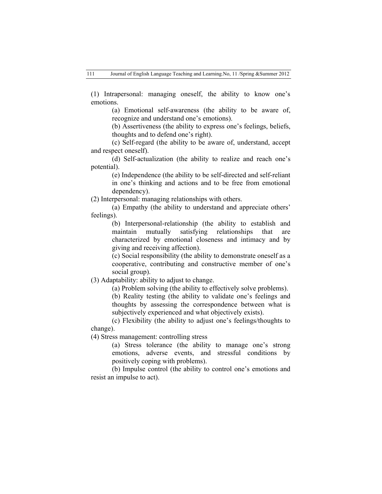(1) Intrapersonal: managing oneself, the ability to know one's emotions.

> (a) Emotional self-awareness (the ability to be aware of, recognize and understand one's emotions).

> (b) Assertiveness (the ability to express one's feelings, beliefs, thoughts and to defend one's right).

(c) Self-regard (the ability to be aware of, understand, accept and respect oneself).

(d) Self-actualization (the ability to realize and reach one's potential).

> (e) Independence (the ability to be self-directed and self-reliant in one's thinking and actions and to be free from emotional dependency).

(2) Interpersonal: managing relationships with others.

(a) Empathy (the ability to understand and appreciate others' feelings).

> (b) Interpersonal-relationship (the ability to establish and maintain mutually satisfying relationships that are characterized by emotional closeness and intimacy and by giving and receiving affection).

> (c) Social responsibility (the ability to demonstrate oneself as a cooperative, contributing and constructive member of one's social group).

(3) Adaptability: ability to adjust to change.

(a) Problem solving (the ability to effectively solve problems).

(b) Reality testing (the ability to validate one's feelings and thoughts by assessing the correspondence between what is subjectively experienced and what objectively exists).

(c) Flexibility (the ability to adjust one's feelings/thoughts to change).

(4) Stress management: controlling stress

(a) Stress tolerance (the ability to manage one's strong emotions, adverse events, and stressful conditions by positively coping with problems).

(b) Impulse control (the ability to control one's emotions and resist an impulse to act).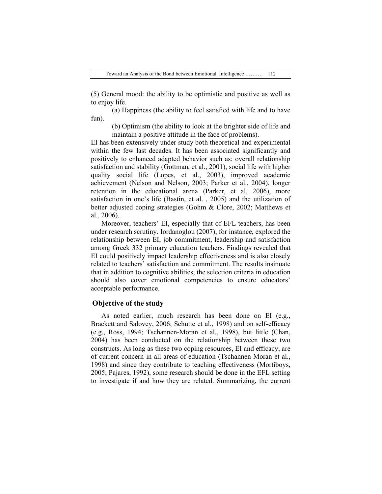(5) General mood: the ability to be optimistic and positive as well as to enjoy life.

(a) Happiness (the ability to feel satisfied with life and to have fun).

(b) Optimism (the ability to look at the brighter side of life and maintain a positive attitude in the face of problems).

EI has been extensively under study both theoretical and experimental within the few last decades. It has been associated significantly and positively to enhanced adapted behavior such as: overall relationship satisfaction and stability (Gottman, et al., 2001), social life with higher quality social life (Lopes, et al., 2003), improved academic achievement (Nelson and Nelson, 2003; Parker et al., 2004), longer retention in the educational arena (Parker, et al, 2006), more satisfaction in one's life (Bastin, et al. , 2005) and the utilization of better adjusted coping strategies (Gohm & Clore, 2002; Matthews et al., 2006).

Moreover, teachers' EI, especially that of EFL teachers, has been under research scrutiny. Iordanoglou (2007), for instance, explored the relationship between EI, job commitment, leadership and satisfaction among Greek 332 primary education teachers. Findings revealed that EI could positively impact leadership effectiveness and is also closely related to teachers' satisfaction and commitment. The results insinuate that in addition to cognitive abilities, the selection criteria in education should also cover emotional competencies to ensure educators' acceptable performance.

## **Objective of the study**

As noted earlier, much research has been done on EI (e.g., Brackett and Salovey, 2006; Schutte et al., 1998) and on self-efficacy (e.g., Ross, 1994; Tschannen-Moran et al., 1998), but little (Chan, 2004) has been conducted on the relationship between these two constructs. As long as these two coping resources, EI and efficacy, are of current concern in all areas of education (Tschannen-Moran et al., 1998) and since they contribute to teaching effectiveness (Mortiboys, 2005; Pajares, 1992), some research should be done in the EFL setting to investigate if and how they are related. Summarizing, the current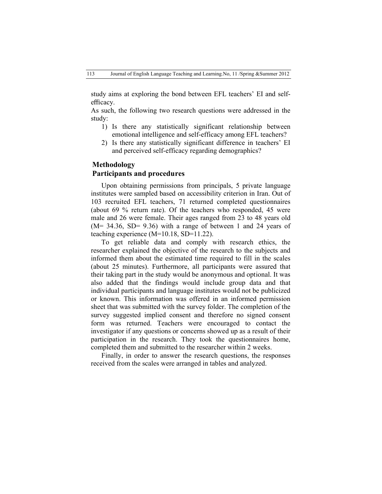study aims at exploring the bond between EFL teachers' EI and selfefficacy.

As such, the following two research questions were addressed in the study:

- 1) Is there any statistically significant relationship between emotional intelligence and self-efficacy among EFL teachers?
- 2) Is there any statistically significant difference in teachers' EI and perceived self-efficacy regarding demographics?

# **Methodology Participants and procedures**

Upon obtaining permissions from principals, 5 private language institutes were sampled based on accessibility criterion in Iran. Out of 103 recruited EFL teachers, 71 returned completed questionnaires (about 69 % return rate). Of the teachers who responded, 45 were male and 26 were female. Their ages ranged from 23 to 48 years old  $(M= 34.36, SD= 9.36)$  with a range of between 1 and 24 years of teaching experience (M=10.18, SD=11.22).

To get reliable data and comply with research ethics, the researcher explained the objective of the research to the subjects and informed them about the estimated time required to fill in the scales (about 25 minutes). Furthermore, all participants were assured that their taking part in the study would be anonymous and optional. It was also added that the findings would include group data and that individual participants and language institutes would not be publicized or known. This information was offered in an informed permission sheet that was submitted with the survey folder. The completion of the survey suggested implied consent and therefore no signed consent form was returned. Teachers were encouraged to contact the investigator if any questions or concerns showed up as a result of their participation in the research. They took the questionnaires home, completed them and submitted to the researcher within 2 weeks.

Finally, in order to answer the research questions, the responses received from the scales were arranged in tables and analyzed.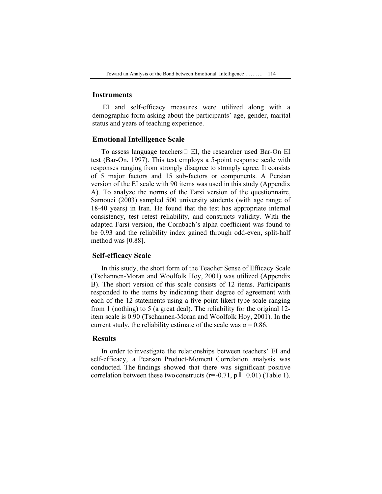#### **Instruments**

EI and self-efficacy measures were utilized along with a demographic form asking about the participants' age, gender, marital status and years of teaching experience.

#### **Emotional Intelligence Scale**

To assess language teachers  $\Box$  EI, the researcher used Bar-On EI test (Bar-On, 1997). This test employs a 5-point response scale with responses ranging from strongly disagree to strongly agree. It consists of 5 major factors and 15 sub-factors or components. A Persian version of the EI scale with 90 items was used in this study (Appendix A). To analyze the norms of the Farsi version of the questionnaire, Samouei (2003) sampled 500 university students (with age range of 18-40 years) in Iran. He found that the test has appropriate internal consistency, test–retest reliability, and constructs validity. With the adapted Farsi version, the Cornbach's alpha coefficient was found to be 0.93 and the reliability index gained through odd-even, split-half method was [0.88].

## **Self-efficacy Scale**

In this study, the short form of the Teacher Sense of Efficacy Scale (Tschannen-Moran and Woolfolk Hoy, 2001) was utilized (Appendix B). The short version of this scale consists of 12 items. Participants responded to the items by indicating their degree of agreement with each of the 12 statements using a five-point likert-type scale ranging from 1 (nothing) to 5 (a great deal). The reliability for the original 12 item scale is 0.90 (Tschannen-Moran and Woolfolk Hoy, 2001). In the current study, the reliability estimate of the scale was  $\alpha = 0.86$ .

#### **Results**

In order to investigate the relationships between teachers' EI and self-efficacy, a Pearson Product-Moment Correlation analysis was conducted. The findings showed that there was significant positive correlation between these two constructs ( $r = -0.71$ ,  $p \perp 0.01$ ) (Table 1).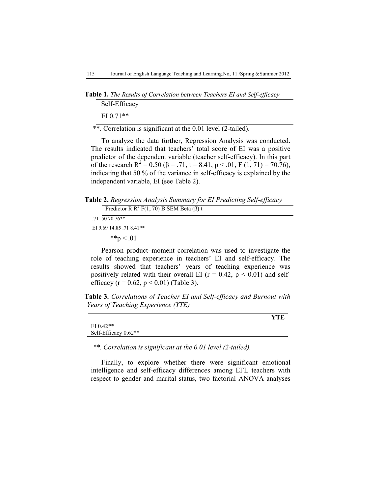**Table 1.** *The Results of Correlation between Teachers EI and Self-efficacy* Self-Efficacy

EI 0.71\*\*

\*\*. Correlation is significant at the 0.01 level (2-tailed).

To analyze the data further, Regression Analysis was conducted. The results indicated that teachers' total score of EI was a positive predictor of the dependent variable (teacher self-efficacy). In this part of the research  $R^2 = 0.50$  ( $\beta = .71$ ,  $t = 8.41$ ,  $p < .01$ ,  $F(1, 71) = 70.76$ ), indicating that 50 % of the variance in self-efficacy is explained by the independent variable, EI (see Table 2).

**Table 2.** *Regression Analysis Summary for EI Predicting Self-efficacy*

Predictor R  $\mathbb{R}^2$  F(1, 70) B SEM Beta (β) t

.71 .50 70.76\*\*

EI 9.69 14.85 .71 8.41\*\*

\*\*p  $< 0.01$ 

Pearson product–moment correlation was used to investigate the role of teaching experience in teachers' EI and self-efficacy. The results showed that teachers' years of teaching experience was positively related with their overall EI ( $r = 0.42$ ,  $p < 0.01$ ) and selfefficacy ( $r = 0.62$ ,  $p < 0.01$ ) (Table 3).

**Table 3.** *Correlations of Teacher EI and Self-efficacy and Burnout with Years of Teaching Experience (YTE)*

|                        | VTF |
|------------------------|-----|
| EI 0.42**              |     |
| Self-Efficacy $0.62**$ |     |
|                        |     |

*\*\*. Correlation is significant at the 0.01 level (2-tailed).*

Finally, to explore whether there were significant emotional intelligence and self-efficacy differences among EFL teachers with respect to gender and marital status, two factorial ANOVA analyses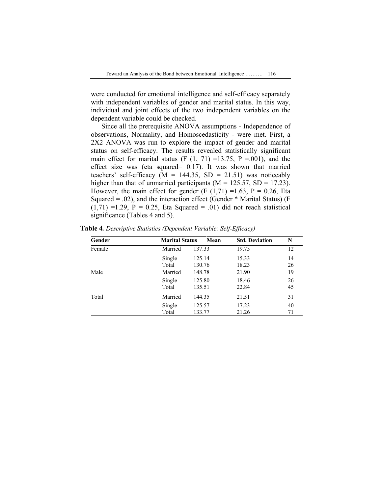were conducted for emotional intelligence and self-efficacy separately with independent variables of gender and marital status. In this way, individual and joint effects of the two independent variables on the dependent variable could be checked.

Since all the prerequisite ANOVA assumptions - Independence of observations, Normality, and Homoscedasticity - were met. First, a 2X2 ANOVA was run to explore the impact of gender and marital status on self-efficacy. The results revealed statistically significant main effect for marital status (F  $(1, 71) = 13.75$ , P = 001), and the effect size was (eta squared= 0.17). It was shown that married teachers' self-efficacy ( $M = 144.35$ ,  $SD = 21.51$ ) was noticeably higher than that of unmarried participants ( $M = 125.57$ , SD = 17.23). However, the main effect for gender (F  $(1,71) = 1.63$ , P = 0.26, Eta Squared = .02), and the interaction effect (Gender  $*$  Marital Status) (F  $(1,71)$  =1.29, P = 0.25, Eta Squared = .01) did not reach statistical significance (Tables 4 and 5).

| Gender | <b>Marital Status</b> | Mean   | <b>Std. Deviation</b> | N  |
|--------|-----------------------|--------|-----------------------|----|
| Female | Married               | 137.33 | 19.75                 | 12 |
|        | Single                | 125.14 | 15.33                 | 14 |
|        | Total                 | 130.76 | 18.23                 | 26 |
| Male   | Married               | 148.78 | 21.90                 | 19 |
|        | Single                | 125.80 | 18.46                 | 26 |
|        | Total                 | 135.51 | 22.84                 | 45 |
| Total  | Married               | 144.35 | 21.51                 | 31 |
|        | Single                | 125.57 | 17.23                 | 40 |
|        | Total                 | 133.77 | 21.26                 | 71 |

**Table 4***. Descriptive Statistics (Dependent Variable: Self-Efficacy)*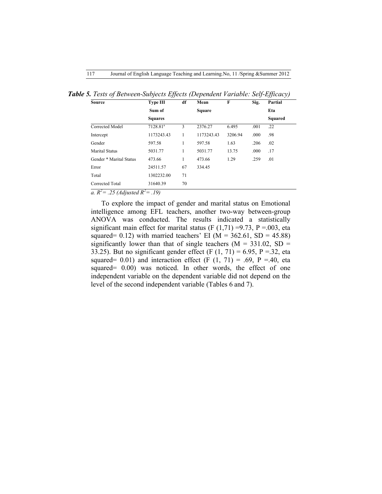| <b>Source</b>           | <b>Type III</b>      | df | Mean       | F       | Sig. | Partial |
|-------------------------|----------------------|----|------------|---------|------|---------|
|                         | Sum of               |    | Square     |         |      | Eta     |
|                         | <b>Squares</b>       |    |            |         |      | Squared |
| Corrected Model         | 7128.81 <sup>a</sup> | 3  | 2376.27    | 6.495   | .001 | .22     |
| Intercept               | 1173243.43           | 1  | 1173243.43 | 3206.94 | .000 | .98     |
| Gender                  | 597.58               | 1  | 597.58     | 1.63    | .206 | .02     |
| <b>Marital Status</b>   | 5031.77              | 1  | 5031.77    | 13.75   | .000 | .17     |
| Gender * Marital Status | 473.66               | 1  | 473.66     | 1.29    | .259 | .01     |
| Error                   | 24511.57             | 67 | 334.45     |         |      |         |
| Total                   | 1302232.00           | 71 |            |         |      |         |
| Corrected Total         | 31640.39             | 70 |            |         |      |         |

*Table 5. Tests of Between-Subjects Effects (Dependent Variable: Self-Efficacy)*

*a. R<sup>2</sup> = .25 (Adjusted R<sup>2</sup> = .19)*

To explore the impact of gender and marital status on Emotional intelligence among EFL teachers, another two-way between-group ANOVA was conducted. The results indicated a statistically significant main effect for marital status (F  $(1,71) = 9.73$ , P = 003, eta squared=  $0.12$ ) with married teachers' EI (M = 362.61, SD = 45.88) significantly lower than that of single teachers  $(M = 331.02, SD =$ 33.25). But no significant gender effect (F  $(1, 71) = 6.95$ , P = 32, eta squared= 0.01) and interaction effect (F  $(1, 71) = .69$ , P = 40, eta squared=  $0.00$ ) was noticed. In other words, the effect of one independent variable on the dependent variable did not depend on the level of the second independent variable (Tables 6 and 7).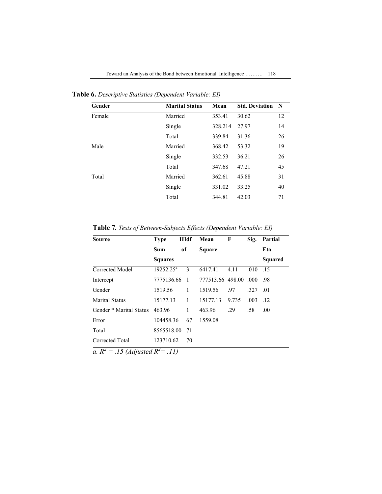| Gender | <b>Marital Status</b> | Mean    | <b>Std. Deviation</b> | N  |
|--------|-----------------------|---------|-----------------------|----|
| Female | Married               | 353.41  | 30.62                 | 12 |
|        | Single                | 328.214 | 27.97                 | 14 |
|        | Total                 | 339.84  | 31.36                 | 26 |
| Male   | Married               | 368.42  | 53.32                 | 19 |
|        | Single                | 332.53  | 36.21                 | 26 |
|        | Total                 | 347.68  | 47.21                 | 45 |
| Total  | Married               | 362.61  | 45.88                 | 31 |
|        | Single                | 331.02  | 33.25                 | 40 |
|        | Total                 | 344.81  | 42.03                 | 71 |
|        |                       |         |                       |    |

**Table 6.** *Descriptive Statistics (Dependent Variable: EI)*

**Table 7***. Tests of Between-Subjects Effects (Dependent Variable: EI)*

| <b>Source</b>                                        | <b>Type</b>    | <b>IIIdf</b> | Mean             | F     | Sig. | Partial        |
|------------------------------------------------------|----------------|--------------|------------------|-------|------|----------------|
|                                                      | Sum            | of           | <b>Square</b>    |       |      | Eta            |
|                                                      | <b>Squares</b> |              |                  |       |      | <b>Squared</b> |
| Corrected Model                                      | $19252.25^a$   | 3            | 6417.41          | 4.11  | .010 | .15            |
| Intercept                                            | 7775136.66     | -1           | 777513.66 498.00 |       | .000 | - 98           |
| Gender                                               | 1519.56        | 1            | 1519.56          | .97   | .327 | .01            |
| <b>Marital Status</b>                                | 15177.13       | 1            | 15177.13         | 9.735 | .003 | .12            |
| Gender * Marital Status                              | 463.96         | 1            | 463.96           | .29   | .58  | .00.           |
| Error                                                | 104458.36      | 67           | 1559.08          |       |      |                |
| Total                                                | 8565518.00     | 71           |                  |       |      |                |
| Corrected Total<br>$n^2 = 15$ (Adjusted $D^2 = 11$ ) | 123710.62      | 70           |                  |       |      |                |

*a. R2 = .15 (Adjusted R<sup>2</sup> = .11)*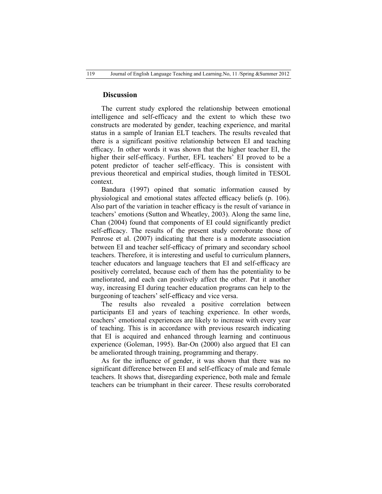#### **Discussion**

The current study explored the relationship between emotional intelligence and self-efficacy and the extent to which these two constructs are moderated by gender, teaching experience, and marital status in a sample of Iranian ELT teachers. The results revealed that there is a significant positive relationship between EI and teaching efficacy. In other words it was shown that the higher teacher EI, the higher their self-efficacy. Further, EFL teachers' EI proved to be a potent predictor of teacher self-efficacy. This is consistent with previous theoretical and empirical studies, though limited in TESOL context.

Bandura (1997) opined that somatic information caused by physiological and emotional states affected efficacy beliefs (p. 106). Also part of the variation in teacher efficacy is the result of variance in teachers' emotions (Sutton and Wheatley, 2003). Along the same line, Chan (2004) found that components of EI could significantly predict self-efficacy. The results of the present study corroborate those of Penrose et al. (2007) indicating that there is a moderate association between EI and teacher self-efficacy of primary and secondary school teachers. Therefore, it is interesting and useful to curriculum planners, teacher educators and language teachers that EI and self-efficacy are positively correlated, because each of them has the potentiality to be ameliorated, and each can positively affect the other. Put it another way, increasing EI during teacher education programs can help to the burgeoning of teachers' self-efficacy and vice versa.

The results also revealed a positive correlation between participants EI and years of teaching experience. In other words, teachers' emotional experiences are likely to increase with every year of teaching. This is in accordance with previous research indicating that EI is acquired and enhanced through learning and continuous experience (Goleman, 1995). Bar-On (2000) also argued that EI can be ameliorated through training, programming and therapy.

As for the influence of gender, it was shown that there was no significant difference between EI and self-efficacy of male and female teachers. It shows that, disregarding experience, both male and female teachers can be triumphant in their career. These results corroborated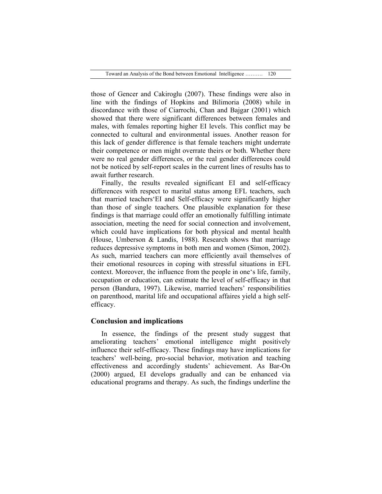Toward an Analysis of the Bond between Emotional Intelligence ………. 120

those of Gencer and Cakiroglu (2007). These findings were also in line with the findings of Hopkins and Bilimoria (2008) while in discordance with those of Ciarrochi, Chan and Bajgar (2001) which showed that there were significant differences between females and males, with females reporting higher EI levels. This conflict may be connected to cultural and environmental issues. Another reason for this lack of gender difference is that female teachers might underrate their competence or men might overrate theirs or both. Whether there were no real gender differences, or the real gender differences could not be noticed by self-report scales in the current lines of results has to await further research.

Finally, the results revealed significant EI and self-efficacy differences with respect to marital status among EFL teachers, such that married teachers'EI and Self-efficacy were significantly higher than those of single teachers. One plausible explanation for these findings is that marriage could offer an emotionally fulfilling intimate association, meeting the need for social connection and involvement, which could have implications for both physical and mental health (House, Umberson & Landis, 1988). Research shows that marriage reduces depressive symptoms in both men and women (Simon, 2002). As such, married teachers can more efficiently avail themselves of their emotional resources in coping with stressful situations in EFL context. Moreover, the influence from the people in one's life, family, occupation or education, can estimate the level of self-efficacy in that person (Bandura, 1997). Likewise, married teachers' responsibilities on parenthood, marital life and occupational affaires yield a high selfefficacy.

## **Conclusion and implications**

In essence, the findings of the present study suggest that ameliorating teachers' emotional intelligence might positively influence their self-efficacy. These findings may have implications for teachers' well-being, pro-social behavior, motivation and teaching effectiveness and accordingly students' achievement. As Bar-On (2000) argued, EI develops gradually and can be enhanced via educational programs and therapy. As such, the findings underline the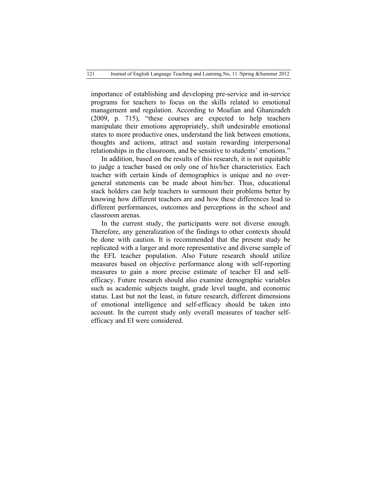importance of establishing and developing pre-service and in-service programs for teachers to focus on the skills related to emotional management and regulation. According to Moafian and Ghanizadeh (2009, p. 715), "these courses are expected to help teachers manipulate their emotions appropriately, shift undesirable emotional states to more productive ones, understand the link between emotions, thoughts and actions, attract and sustain rewarding interpersonal relationships in the classroom, and be sensitive to students' emotions."

In addition, based on the results of this research, it is not equitable to judge a teacher based on only one of his/her characteristics. Each teacher with certain kinds of demographics is unique and no overgeneral statements can be made about him/her. Thus, educational stack holders can help teachers to surmount their problems better by knowing how different teachers are and how these differences lead to different performances, outcomes and perceptions in the school and classroom arenas.

In the current study, the participants were not diverse enough. Therefore, any generalization of the findings to other contexts should be done with caution. It is recommended that the present study be replicated with a larger and more representative and diverse sample of the EFL teacher population. Also Future research should utilize measures based on objective performance along with self-reporting measures to gain a more precise estimate of teacher EI and selfefficacy. Future research should also examine demographic variables such as academic subjects taught, grade level taught, and economic status. Last but not the least, in future research, different dimensions of emotional intelligence and self-efficacy should be taken into account. In the current study only overall measures of teacher selfefficacy and EI were considered.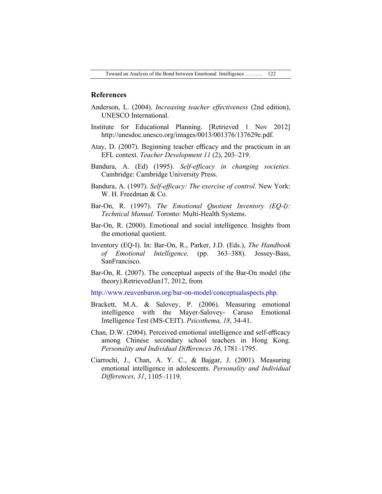#### **References**

- Anderson, L. (2004). *Increasing teacher effectiveness* (2nd edition), UNESCO International.
- Institute for Educational Planning. [Retrieved 1 Nov 2012] http://unesdoc.unesco.org/images/0013/001376/137629e.pdf.
- Atay, D. (2007). Beginning teacher efficacy and the practicum in an EFL context. *Teacher Development 11* (2), 203–219.
- Bandura, A. (Ed) (1995). *Self-efficacy in changing societies.* Cambridge: Cambridge University Press.
- Bandura, A. (1997). *Self-efficacy: The exercise of control.* New York: W. H. Freedman & Co.
- Bar-On, R. (1997). *The Emotional Quotient Inventory (EQ-I): Technical Manual*. Toronto: Multi-Health Systems.
- Bar-On, R. (2000). Emotional and social intelligence. Insights from the emotional quotient.
- Inventory (EQ-I). In: Bar-On, R., Parker, J.D. (Eds.), *The Handbook of Emotional Intelligence,* (pp. 363–388). Jossey-Bass, SanFrancisco.
- Bar-On, R. (2007). The conceptual aspects of the Bar-On model (the theory).RetrievedJun17, 2012, from

http://www.reuvenbaron.org/bar-on-model/conceptualaspects.php.

- Brackett, M.A. & Salovey, P. (2006). Measuring emotional intelligence with the Mayer-Salovey- Caruso Emotional Intelligence Test (MS-CEIT). *Psicothema, 18*, 34-41.
- Chan, D.W. (2004). Perceived emotional intelligence and self-efficacy among Chinese secondary school teachers in Hong Kong. *Personality and Individual Di*ff*erences 36*, 1781–1795.
- Ciarrochi, J., Chan, A. Y. C., & Bajgar, J. (2001). Measuring emotional intelligence in adolescents. *Personality and Individual Differences, 31*, 1105–1119.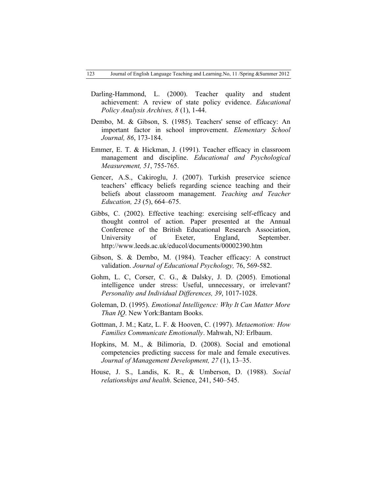- Darling-Hammond, L. (2000). Teacher quality and student achievement: A review of state policy evidence. *Educational Policy Analysis Archives, 8* (1), 1-44.
- Dembo, M. & Gibson, S. (1985). Teachers' sense of efficacy: An important factor in school improvement. *Elementary School Journal, 86*, 173-184.
- Emmer, E. T. & Hickman, J. (1991). Teacher efficacy in classroom management and discipline. *Educational and Psychological Measurement, 51*, 755-765.
- Gencer, A.S., Cakiroglu, J. (2007). Turkish preservice science teachers' efficacy beliefs regarding science teaching and their beliefs about classroom management. *Teaching and Teacher Education, 23* (5), 664–675.
- Gibbs, C. (2002). Effective teaching: exercising self-efficacy and thought control of action. Paper presented at the Annual Conference of the British Educational Research Association, University of Exeter, England, September. http://www.leeds.ac.uk/educol/documents/00002390.htm
- Gibson, S. & Dembo, M. (1984). Teacher efficacy: A construct validation. *Journal of Educational Psychology,* 76, 569-582.
- Gohm, L. C, Corser, C. G., & Dalsky, J. D. (2005). Emotional intelligence under stress: Useful, unnecessary, or irrelevant? *Personality and Individual Differences, 39*, 1017-1028.
- Goleman, D. (1995). *Emotional Intelligence: Why It Can Matter More Than IQ*. New York:Bantam Books.
- Gottman, J. M.; Katz, L. F. & Hooven, C. (1997). *Metaemotion: How Families Communicate Emotionally*. Mahwah, NJ: Erlbaum.
- Hopkins, M. M., & Bilimoria, D. (2008). Social and emotional competencies predicting success for male and female executives. *Journal of Management Development, 27* (1), 13–35.
- House, J. S., Landis, K. R., & Umberson, D. (1988). *Social relationships and health*. Science, 241, 540–545.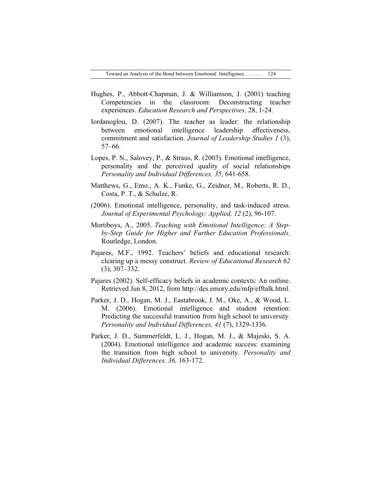- Hughes, P., Abbott-Chapman, J. & Williamson, J. (2001) teaching Competencies in the classroom: Deconstructing teacher experiences. *Education Research and Perspectives,* 28, 1-24.
- Iordanoglou, D. (2007). The teacher as leader: the relationship between emotional intelligence leadership effectiveness, commitment and satisfaction. *Journal of Leadership Studies 1* (3), 57–66.
- Lopes, P. N., Salovey, P., & Straus, R. (2003). Emotional intelligence, personality and the perceived quality of social relationships *Personality and Individual Differences, 35*, 641-658.
- Matthews, G., Emo., A. K., Funke, G., Zeidner, M., Roberts, R. D., Costa, P. T., & Schulze, R.
- (2006). Emotional intelligence, personality, and task-induced stress. *Journal of Experimental Psychology: Applied, 12* (2), 96-107.
- Mortiboys, A., 2005. *Teaching with Emotional Intelligence: A Stepby-Step Guide for Higher and Further Education Professionals*. Routledge, London.
- Pajares, M.F., 1992. Teachers' beliefs and educational research: clearing up a messy construct. *Review of Educational Research 62* (3), 307–332.
- Pajares (2002). Self-efficacy beliefs in academic contexts: An outline. Retrieved Jun 8, 2012, from http://des.emory.edu/mfp/efftalk.html.
- Parker, J. D., Hogan, M. J., Eastabrook, J. M., Oke, A., & Wood, L. M. (2006). Emotional intelligence and student retention: Predicting the successful transition from high school to university. *Personality and Individual Differences, 41* (7), 1329-1336.
- Parker, J. D., Summerfeldt, L. J., Hogan, M. J., & Majeski, S. A. (2004). Emotional intelligence and academic success: examining the transition from high school to university. *Personality and Individual Differences, 36,* 163-172.